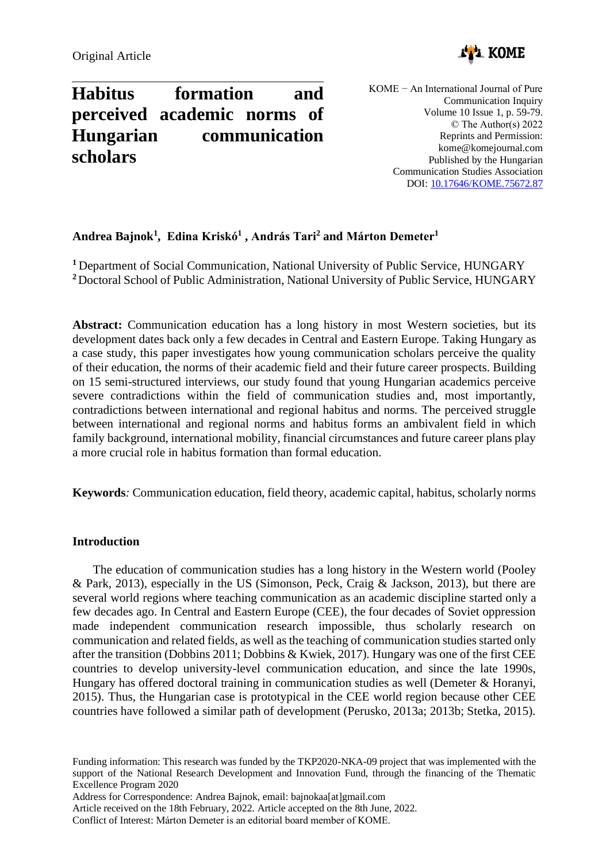

# **Habitus formation and perceived academic norms of Hungarian communication scholars**

KOME − An International Journal of Pure Communication Inquiry Volume 10 Issue 1, p. 59-79. © The Author(s) 2022 Reprints and Permission: kome@komejournal.com Published by the Hungarian Communication Studies Association DOI: [10.17646/KOME.75672.87](http://dx.doi.org/10.17646/KOME.75672.87)

# **Andrea Bajnok<sup>1</sup> , Edina Kriskó<sup>1</sup> , András Tari<sup>2</sup> and Márton Demeter<sup>1</sup>**

**<sup>1</sup>** Department of Social Communication, National University of Public Service, HUNGARY **<sup>2</sup>**Doctoral School of Public Administration, National University of Public Service, HUNGARY

**Abstract:** Communication education has a long history in most Western societies, but its development dates back only a few decades in Central and Eastern Europe. Taking Hungary as a case study, this paper investigates how young communication scholars perceive the quality of their education, the norms of their academic field and their future career prospects. Building on 15 semi-structured interviews, our study found that young Hungarian academics perceive severe contradictions within the field of communication studies and, most importantly, contradictions between international and regional habitus and norms. The perceived struggle between international and regional norms and habitus forms an ambivalent field in which family background, international mobility, financial circumstances and future career plans play a more crucial role in habitus formation than formal education.

**Keywords***:* Communication education, field theory, academic capital, habitus, scholarly norms

# **Introduction**

The education of communication studies has a long history in the Western world (Pooley & Park, 2013), especially in the US (Simonson, Peck, Craig & Jackson, 2013), but there are several world regions where teaching communication as an academic discipline started only a few decades ago. In Central and Eastern Europe (CEE), the four decades of Soviet oppression made independent communication research impossible, thus scholarly research on communication and related fields, as well as the teaching of communication studies started only after the transition (Dobbins 2011; Dobbins & Kwiek, 2017). Hungary was one of the first CEE countries to develop university-level communication education, and since the late 1990s, Hungary has offered doctoral training in communication studies as well (Demeter & Horanyi, 2015). Thus, the Hungarian case is prototypical in the CEE world region because other CEE countries have followed a similar path of development (Perusko, 2013a; 2013b; Stetka, 2015).

Funding information: This research was funded by the TKP2020-NKA-09 project that was implemented with the support of the National Research Development and Innovation Fund, through the financing of the Thematic Excellence Program 2020

Address for Correspondence: Andrea Bajnok, email: bajnokaa[at]gmail.com

Article received on the 18th February, 2022. Article accepted on the 8th June, 2022.

Conflict of Interest: Márton Demeter is an editorial board member of KOME.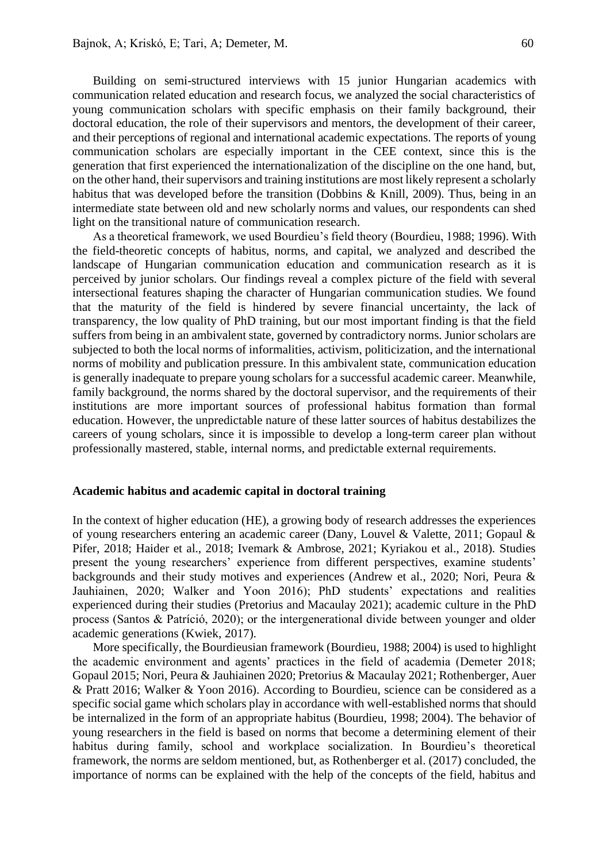Building on semi-structured interviews with 15 junior Hungarian academics with communication related education and research focus, we analyzed the social characteristics of young communication scholars with specific emphasis on their family background, their doctoral education, the role of their supervisors and mentors, the development of their career, and their perceptions of regional and international academic expectations. The reports of young communication scholars are especially important in the CEE context, since this is the generation that first experienced the internationalization of the discipline on the one hand, but, on the other hand, their supervisors and training institutions are most likely represent a scholarly habitus that was developed before the transition (Dobbins & Knill, 2009). Thus, being in an intermediate state between old and new scholarly norms and values, our respondents can shed light on the transitional nature of communication research.

As a theoretical framework, we used Bourdieu's field theory (Bourdieu, 1988; 1996). With the field-theoretic concepts of habitus, norms, and capital, we analyzed and described the landscape of Hungarian communication education and communication research as it is perceived by junior scholars. Our findings reveal a complex picture of the field with several intersectional features shaping the character of Hungarian communication studies. We found that the maturity of the field is hindered by severe financial uncertainty, the lack of transparency, the low quality of PhD training, but our most important finding is that the field suffers from being in an ambivalent state, governed by contradictory norms. Junior scholars are subjected to both the local norms of informalities, activism, politicization, and the international norms of mobility and publication pressure. In this ambivalent state, communication education is generally inadequate to prepare young scholars for a successful academic career. Meanwhile, family background, the norms shared by the doctoral supervisor, and the requirements of their institutions are more important sources of professional habitus formation than formal education. However, the unpredictable nature of these latter sources of habitus destabilizes the careers of young scholars, since it is impossible to develop a long-term career plan without professionally mastered, stable, internal norms, and predictable external requirements.

#### **Academic habitus and academic capital in doctoral training**

In the context of higher education (HE), a growing body of research addresses the experiences of young researchers entering an academic career (Dany, Louvel & Valette, 2011; Gopaul & Pifer, 2018; Haider et al., 2018; Ivemark & Ambrose, 2021; Kyriakou et al., 2018). Studies present the young researchers' experience from different perspectives, examine students' backgrounds and their study motives and experiences (Andrew et al., 2020; Nori, Peura & Jauhiainen, 2020; Walker and Yoon 2016); PhD students' expectations and realities experienced during their studies (Pretorius and Macaulay 2021); academic culture in the PhD process (Santos & Patríció, 2020); or the intergenerational divide between younger and older academic generations (Kwiek, 2017).

More specifically, the Bourdieusian framework (Bourdieu, 1988; 2004) is used to highlight the academic environment and agents' practices in the field of academia (Demeter 2018; Gopaul 2015; Nori, Peura & Jauhiainen 2020; Pretorius & Macaulay 2021; Rothenberger, Auer & Pratt 2016; Walker & Yoon 2016). According to Bourdieu, science can be considered as a specific social game which scholars play in accordance with well-established norms that should be internalized in the form of an appropriate habitus (Bourdieu, 1998; 2004). The behavior of young researchers in the field is based on norms that become a determining element of their habitus during family, school and workplace socialization. In Bourdieu's theoretical framework, the norms are seldom mentioned, but, as Rothenberger et al. (2017) concluded, the importance of norms can be explained with the help of the concepts of the field, habitus and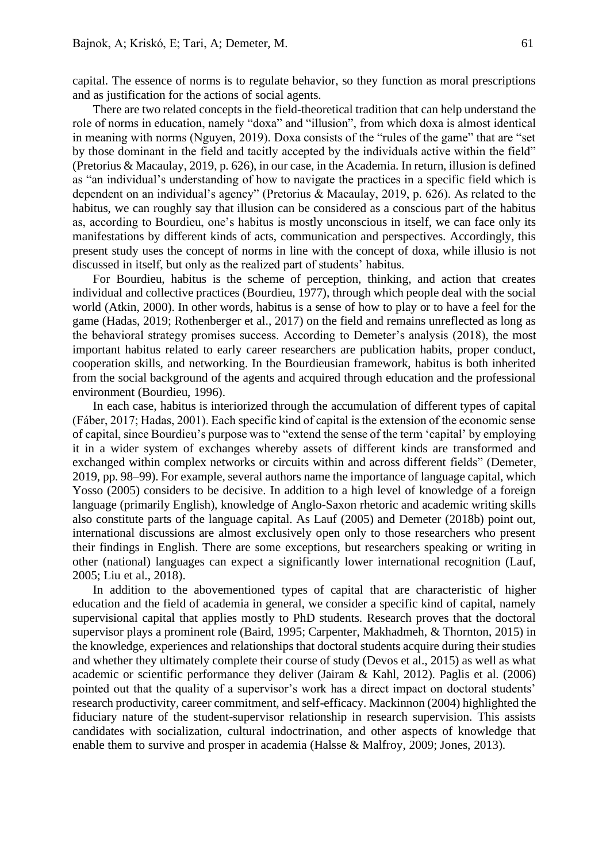capital. The essence of norms is to regulate behavior, so they function as moral prescriptions and as justification for the actions of social agents.

There are two related concepts in the field-theoretical tradition that can help understand the role of norms in education, namely "doxa" and "illusion", from which doxa is almost identical in meaning with norms (Nguyen, 2019). Doxa consists of the "rules of the game" that are "set by those dominant in the field and tacitly accepted by the individuals active within the field" (Pretorius & Macaulay, 2019, p. 626), in our case, in the Academia. In return, illusion is defined as "an individual's understanding of how to navigate the practices in a specific field which is dependent on an individual's agency" (Pretorius & Macaulay, 2019, p. 626). As related to the habitus, we can roughly say that illusion can be considered as a conscious part of the habitus as, according to Bourdieu, one's habitus is mostly unconscious in itself, we can face only its manifestations by different kinds of acts, communication and perspectives. Accordingly, this present study uses the concept of norms in line with the concept of doxa, while illusio is not discussed in itself, but only as the realized part of students' habitus.

For Bourdieu, habitus is the scheme of perception, thinking, and action that creates individual and collective practices (Bourdieu, 1977), through which people deal with the social world (Atkin, 2000). In other words, habitus is a sense of how to play or to have a feel for the game (Hadas, 2019; Rothenberger et al., 2017) on the field and remains unreflected as long as the behavioral strategy promises success. According to Demeter's analysis (2018), the most important habitus related to early career researchers are publication habits, proper conduct, cooperation skills, and networking. In the Bourdieusian framework, habitus is both inherited from the social background of the agents and acquired through education and the professional environment (Bourdieu, 1996).

In each case, habitus is interiorized through the accumulation of different types of capital (Fáber, 2017; Hadas, 2001). Each specific kind of capital is the extension of the economic sense of capital, since Bourdieu's purpose was to "extend the sense of the term 'capital' by employing it in a wider system of exchanges whereby assets of different kinds are transformed and exchanged within complex networks or circuits within and across different fields" (Demeter, 2019, pp. 98–99). For example, several authors name the importance of language capital, which Yosso (2005) considers to be decisive. In addition to a high level of knowledge of a foreign language (primarily English), knowledge of Anglo-Saxon rhetoric and academic writing skills also constitute parts of the language capital. As Lauf (2005) and Demeter (2018b) point out, international discussions are almost exclusively open only to those researchers who present their findings in English. There are some exceptions, but researchers speaking or writing in other (national) languages can expect a significantly lower international recognition (Lauf, 2005; Liu et al., 2018).

In addition to the abovementioned types of capital that are characteristic of higher education and the field of academia in general, we consider a specific kind of capital, namely supervisional capital that applies mostly to PhD students. Research proves that the doctoral supervisor plays a prominent role (Baird, 1995; Carpenter, Makhadmeh, & Thornton, 2015) in the knowledge, experiences and relationships that doctoral students acquire during their studies and whether they ultimately complete their course of study (Devos et al., 2015) as well as what academic or scientific performance they deliver (Jairam & Kahl, 2012). Paglis et al. (2006) pointed out that the quality of a supervisor's work has a direct impact on doctoral students' research productivity, career commitment, and self-efficacy. Mackinnon (2004) highlighted the fiduciary nature of the student-supervisor relationship in research supervision. This assists candidates with socialization, cultural indoctrination, and other aspects of knowledge that enable them to survive and prosper in academia (Halsse & Malfroy, 2009; Jones, 2013).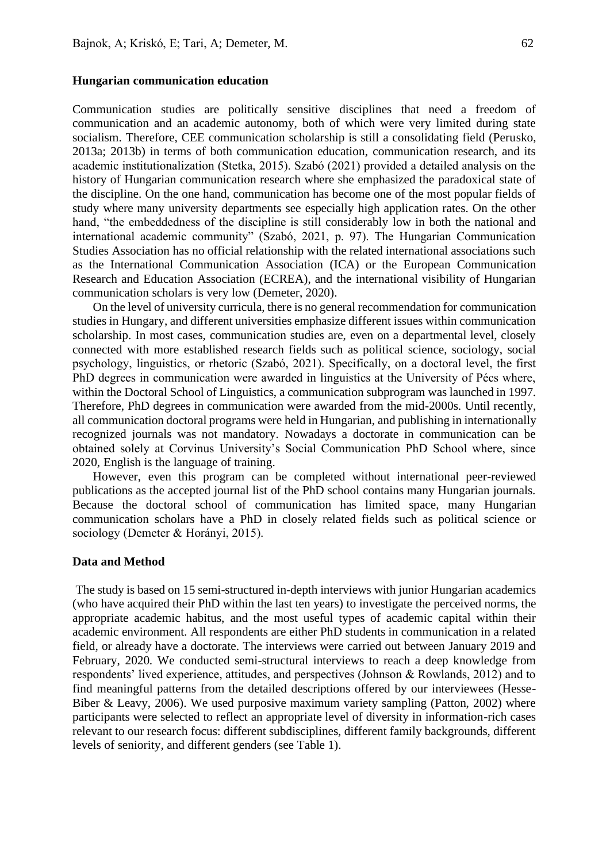#### **Hungarian communication education**

Communication studies are politically sensitive disciplines that need a freedom of communication and an academic autonomy, both of which were very limited during state socialism. Therefore, CEE communication scholarship is still a consolidating field (Perusko, 2013a; 2013b) in terms of both communication education, communication research, and its academic institutionalization (Stetka, 2015). Szabó (2021) provided a detailed analysis on the history of Hungarian communication research where she emphasized the paradoxical state of the discipline. On the one hand, communication has become one of the most popular fields of study where many university departments see especially high application rates. On the other hand, "the embeddedness of the discipline is still considerably low in both the national and international academic community" (Szabó, 2021, p. 97). The Hungarian Communication Studies Association has no official relationship with the related international associations such as the International Communication Association (ICA) or the European Communication Research and Education Association (ECREA), and the international visibility of Hungarian communication scholars is very low (Demeter, 2020).

On the level of university curricula, there is no general recommendation for communication studies in Hungary, and different universities emphasize different issues within communication scholarship. In most cases, communication studies are, even on a departmental level, closely connected with more established research fields such as political science, sociology, social psychology, linguistics, or rhetoric (Szabó, 2021). Specifically, on a doctoral level, the first PhD degrees in communication were awarded in linguistics at the University of Pécs where, within the Doctoral School of Linguistics, a communication subprogram was launched in 1997. Therefore, PhD degrees in communication were awarded from the mid-2000s. Until recently, all communication doctoral programs were held in Hungarian, and publishing in internationally recognized journals was not mandatory. Nowadays a doctorate in communication can be obtained solely at Corvinus University's Social Communication PhD School where, since 2020, English is the language of training.

However, even this program can be completed without international peer-reviewed publications as the accepted journal list of the PhD school contains many Hungarian journals. Because the doctoral school of communication has limited space, many Hungarian communication scholars have a PhD in closely related fields such as political science or sociology (Demeter & Horányi, 2015).

#### **Data and Method**

The study is based on 15 semi-structured in-depth interviews with junior Hungarian academics (who have acquired their PhD within the last ten years) to investigate the perceived norms, the appropriate academic habitus, and the most useful types of academic capital within their academic environment. All respondents are either PhD students in communication in a related field, or already have a doctorate. The interviews were carried out between January 2019 and February, 2020. We conducted semi-structural interviews to reach a deep knowledge from respondents' lived experience, attitudes, and perspectives (Johnson & Rowlands, 2012) and to find meaningful patterns from the detailed descriptions offered by our interviewees (Hesse-Biber & Leavy, 2006). We used purposive maximum variety sampling (Patton, 2002) where participants were selected to reflect an appropriate level of diversity in information-rich cases relevant to our research focus: different subdisciplines, different family backgrounds, different levels of seniority, and different genders (see Table 1).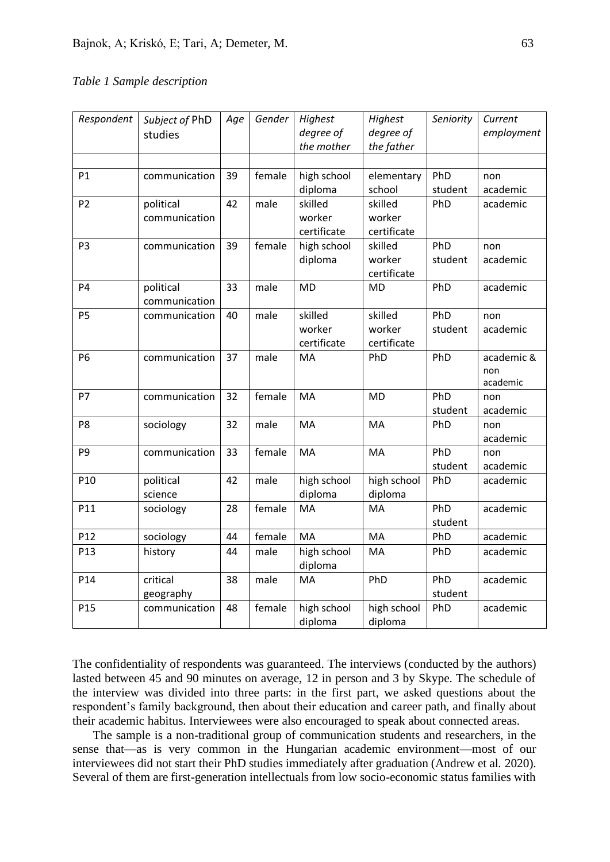# *Table 1 Sample description*

| Respondent      | Subject of PhD<br>studies  | Age | Gender | Highest<br>degree of<br>the mother | Highest<br>degree of<br>the father | Seniority      | Current<br>employment         |
|-----------------|----------------------------|-----|--------|------------------------------------|------------------------------------|----------------|-------------------------------|
|                 |                            |     |        |                                    |                                    |                |                               |
| P1              | communication              | 39  | female | high school<br>diploma             | elementary<br>school               | PhD<br>student | non<br>academic               |
| P <sub>2</sub>  | political<br>communication | 42  | male   | skilled<br>worker<br>certificate   | skilled<br>worker<br>certificate   | PhD            | academic                      |
| P <sub>3</sub>  | communication              | 39  | female | high school<br>diploma             | skilled<br>worker<br>certificate   | PhD<br>student | non<br>academic               |
| P <sub>4</sub>  | political<br>communication | 33  | male   | <b>MD</b>                          | MD                                 | PhD            | academic                      |
| P <sub>5</sub>  | communication              | 40  | male   | skilled<br>worker<br>certificate   | skilled<br>worker<br>certificate   | PhD<br>student | non<br>academic               |
| P <sub>6</sub>  | communication              | 37  | male   | MA                                 | PhD                                | PhD            | academic &<br>non<br>academic |
| P7              | communication              | 32  | female | MA                                 | <b>MD</b>                          | PhD<br>student | non<br>academic               |
| P <sub>8</sub>  | sociology                  | 32  | male   | MA                                 | MA                                 | PhD            | non<br>academic               |
| P <sub>9</sub>  | communication              | 33  | female | MA                                 | MA                                 | PhD<br>student | non<br>academic               |
| P <sub>10</sub> | political<br>science       | 42  | male   | high school<br>diploma             | high school<br>diploma             | PhD            | academic                      |
| P11             | sociology                  | 28  | female | MA                                 | MA                                 | PhD<br>student | academic                      |
| P12             | sociology                  | 44  | female | MA                                 | MA                                 | PhD            | academic                      |
| P13             | history                    | 44  | male   | high school<br>diploma             | MA                                 | PhD            | academic                      |
| P14             | critical<br>geography      | 38  | male   | MA                                 | PhD                                | PhD<br>student | academic                      |
| P <sub>15</sub> | communication              | 48  | female | high school<br>diploma             | high school<br>diploma             | PhD            | academic                      |

The confidentiality of respondents was guaranteed. The interviews (conducted by the authors) lasted between 45 and 90 minutes on average, 12 in person and 3 by Skype. The schedule of the interview was divided into three parts: in the first part, we asked questions about the respondent's family background, then about their education and career path, and finally about their academic habitus. Interviewees were also encouraged to speak about connected areas.

The sample is a non-traditional group of communication students and researchers, in the sense that—as is very common in the Hungarian academic environment—most of our interviewees did not start their PhD studies immediately after graduation (Andrew et al. 2020). Several of them are first-generation intellectuals from low socio-economic status families with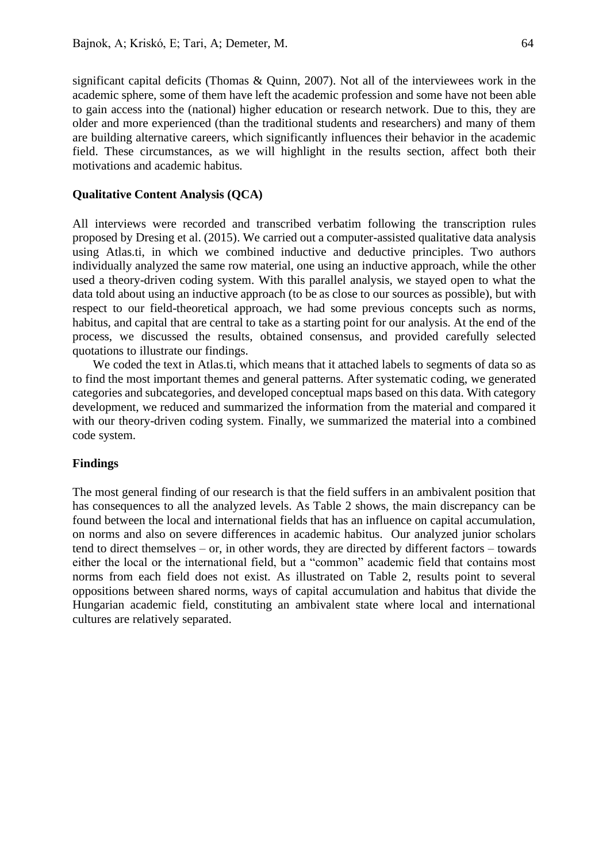significant capital deficits (Thomas & Quinn, 2007). Not all of the interviewees work in the academic sphere, some of them have left the academic profession and some have not been able to gain access into the (national) higher education or research network. Due to this, they are older and more experienced (than the traditional students and researchers) and many of them are building alternative careers, which significantly influences their behavior in the academic field. These circumstances, as we will highlight in the results section, affect both their motivations and academic habitus.

#### **Qualitative Content Analysis (QCA)**

All interviews were recorded and transcribed verbatim following the transcription rules proposed by Dresing et al. (2015). We carried out a computer-assisted qualitative data analysis using Atlas.ti, in which we combined inductive and deductive principles. Two authors individually analyzed the same row material, one using an inductive approach, while the other used a theory-driven coding system. With this parallel analysis, we stayed open to what the data told about using an inductive approach (to be as close to our sources as possible), but with respect to our field-theoretical approach, we had some previous concepts such as norms, habitus, and capital that are central to take as a starting point for our analysis. At the end of the process, we discussed the results, obtained consensus, and provided carefully selected quotations to illustrate our findings.

We coded the text in Atlas.ti, which means that it attached labels to segments of data so as to find the most important themes and general patterns. After systematic coding, we generated categories and subcategories, and developed conceptual maps based on this data. With category development, we reduced and summarized the information from the material and compared it with our theory-driven coding system. Finally, we summarized the material into a combined code system.

# **Findings**

The most general finding of our research is that the field suffers in an ambivalent position that has consequences to all the analyzed levels. As Table 2 shows, the main discrepancy can be found between the local and international fields that has an influence on capital accumulation, on norms and also on severe differences in academic habitus. Our analyzed junior scholars tend to direct themselves – or, in other words, they are directed by different factors – towards either the local or the international field, but a "common" academic field that contains most norms from each field does not exist. As illustrated on Table 2, results point to several oppositions between shared norms, ways of capital accumulation and habitus that divide the Hungarian academic field, constituting an ambivalent state where local and international cultures are relatively separated.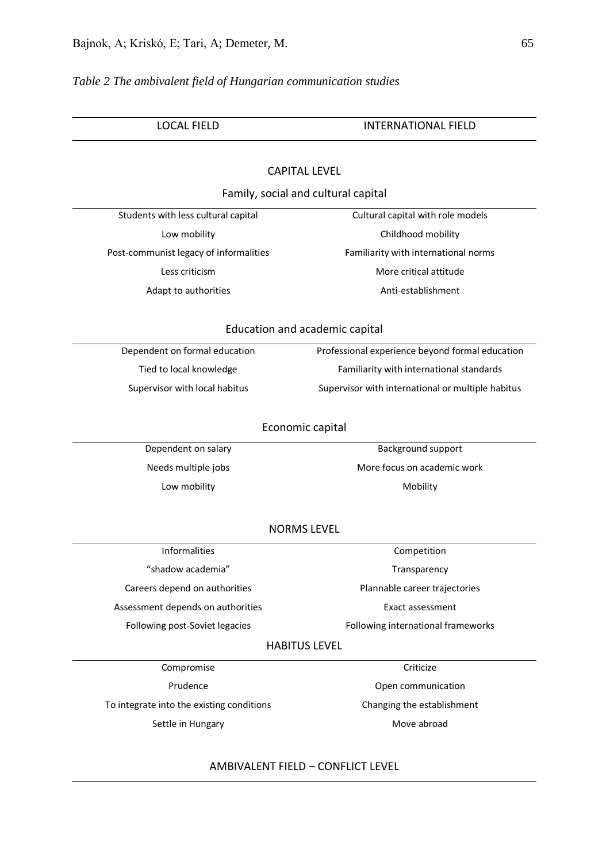# *Table 2 The ambivalent field of Hungarian communication studies*

| <b>LOCAL FIELD</b>                        | <b>INTERNATIONAL FIELD</b>                        |  |  |  |  |  |  |  |  |
|-------------------------------------------|---------------------------------------------------|--|--|--|--|--|--|--|--|
|                                           |                                                   |  |  |  |  |  |  |  |  |
| <b>CAPITAL LEVEL</b>                      |                                                   |  |  |  |  |  |  |  |  |
| Family, social and cultural capital       |                                                   |  |  |  |  |  |  |  |  |
| Students with less cultural capital       | Cultural capital with role models                 |  |  |  |  |  |  |  |  |
| Low mobility                              | Childhood mobility                                |  |  |  |  |  |  |  |  |
| Post-communist legacy of informalities    | Familiarity with international norms              |  |  |  |  |  |  |  |  |
| Less criticism                            | More critical attitude                            |  |  |  |  |  |  |  |  |
| Adapt to authorities                      | Anti-establishment                                |  |  |  |  |  |  |  |  |
| Education and academic capital            |                                                   |  |  |  |  |  |  |  |  |
| Dependent on formal education             | Professional experience beyond formal education   |  |  |  |  |  |  |  |  |
| Tied to local knowledge                   | Familiarity with international standards          |  |  |  |  |  |  |  |  |
| Supervisor with local habitus             | Supervisor with international or multiple habitus |  |  |  |  |  |  |  |  |
| Economic capital                          |                                                   |  |  |  |  |  |  |  |  |
| Dependent on salary                       | Background support                                |  |  |  |  |  |  |  |  |
| Needs multiple jobs                       | More focus on academic work                       |  |  |  |  |  |  |  |  |
| Low mobility                              | Mobility                                          |  |  |  |  |  |  |  |  |
| <b>NORMS LEVEL</b>                        |                                                   |  |  |  |  |  |  |  |  |
| <b>Informalities</b>                      | Competition                                       |  |  |  |  |  |  |  |  |
| "shadow academia"                         | Transparency                                      |  |  |  |  |  |  |  |  |
| Careers depend on authorities             | Plannable career trajectories                     |  |  |  |  |  |  |  |  |
| Assessment depends on authorities         | Exact assessment                                  |  |  |  |  |  |  |  |  |
| Following post-Soviet legacies            | Following international frameworks                |  |  |  |  |  |  |  |  |
| <b>HABITUS LEVEL</b>                      |                                                   |  |  |  |  |  |  |  |  |
| Compromise                                | Criticize                                         |  |  |  |  |  |  |  |  |
| Prudence                                  | Open communication                                |  |  |  |  |  |  |  |  |
| To integrate into the existing conditions | Changing the establishment                        |  |  |  |  |  |  |  |  |
| Settle in Hungary                         | Move abroad                                       |  |  |  |  |  |  |  |  |
|                                           |                                                   |  |  |  |  |  |  |  |  |

# AMBIVALENT FIELD – CONFLICT LEVEL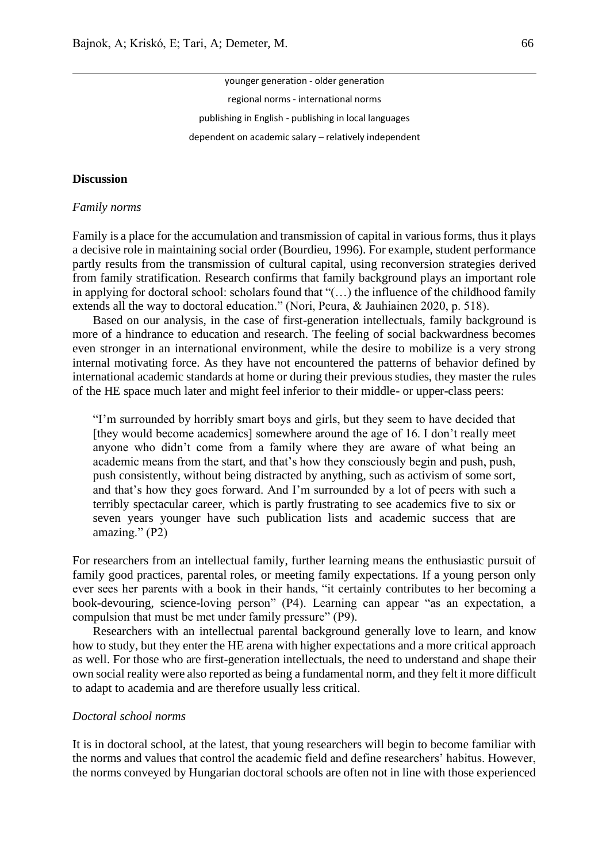younger generation - older generation regional norms - international norms publishing in English - publishing in local languages dependent on academic salary – relatively independent

#### **Discussion**

#### *Family norms*

Family is a place for the accumulation and transmission of capital in various forms, thus it plays a decisive role in maintaining social order (Bourdieu, 1996). For example, student performance partly results from the transmission of cultural capital, using reconversion strategies derived from family stratification. Research confirms that family background plays an important role in applying for doctoral school: scholars found that "(…) the influence of the childhood family extends all the way to doctoral education." (Nori, Peura, & Jauhiainen 2020, p. 518).

Based on our analysis, in the case of first-generation intellectuals, family background is more of a hindrance to education and research. The feeling of social backwardness becomes even stronger in an international environment, while the desire to mobilize is a very strong internal motivating force. As they have not encountered the patterns of behavior defined by international academic standards at home or during their previous studies, they master the rules of the HE space much later and might feel inferior to their middle- or upper-class peers:

"I'm surrounded by horribly smart boys and girls, but they seem to have decided that [they would become academics] somewhere around the age of 16. I don't really meet anyone who didn't come from a family where they are aware of what being an academic means from the start, and that's how they consciously begin and push, push, push consistently, without being distracted by anything, such as activism of some sort, and that's how they goes forward. And I'm surrounded by a lot of peers with such a terribly spectacular career, which is partly frustrating to see academics five to six or seven years younger have such publication lists and academic success that are amazing." (P2)

For researchers from an intellectual family, further learning means the enthusiastic pursuit of family good practices, parental roles, or meeting family expectations. If a young person only ever sees her parents with a book in their hands, "it certainly contributes to her becoming a book-devouring, science-loving person" (P4). Learning can appear "as an expectation, a compulsion that must be met under family pressure" (P9).

Researchers with an intellectual parental background generally love to learn, and know how to study, but they enter the HE arena with higher expectations and a more critical approach as well. For those who are first-generation intellectuals, the need to understand and shape their own social reality were also reported as being a fundamental norm, and they felt it more difficult to adapt to academia and are therefore usually less critical.

#### *Doctoral school norms*

It is in doctoral school, at the latest, that young researchers will begin to become familiar with the norms and values that control the academic field and define researchers' habitus. However, the norms conveyed by Hungarian doctoral schools are often not in line with those experienced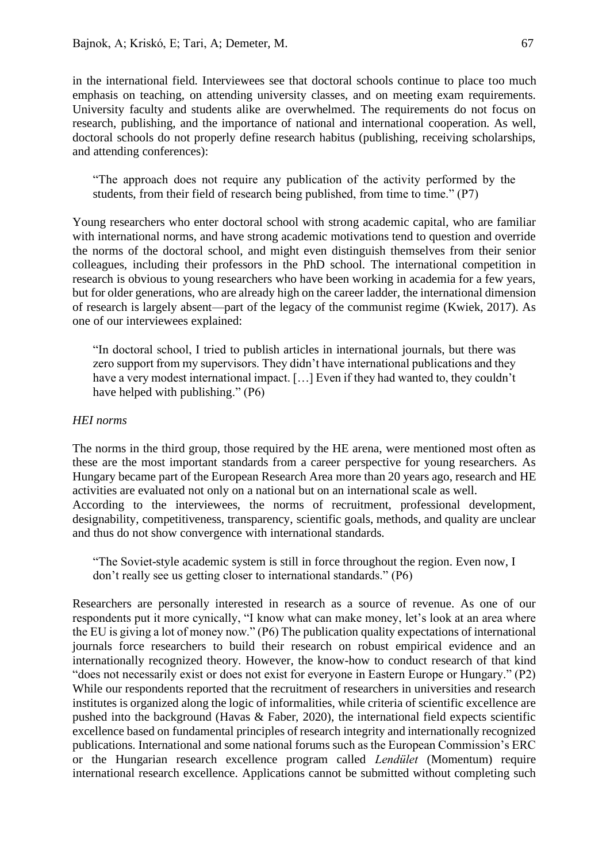in the international field. Interviewees see that doctoral schools continue to place too much emphasis on teaching, on attending university classes, and on meeting exam requirements. University faculty and students alike are overwhelmed. The requirements do not focus on research, publishing, and the importance of national and international cooperation. As well, doctoral schools do not properly define research habitus (publishing, receiving scholarships, and attending conferences):

"The approach does not require any publication of the activity performed by the students, from their field of research being published, from time to time." (P7)

Young researchers who enter doctoral school with strong academic capital, who are familiar with international norms, and have strong academic motivations tend to question and override the norms of the doctoral school, and might even distinguish themselves from their senior colleagues, including their professors in the PhD school. The international competition in research is obvious to young researchers who have been working in academia for a few years, but for older generations, who are already high on the career ladder, the international dimension of research is largely absent—part of the legacy of the communist regime (Kwiek, 2017). As one of our interviewees explained:

"In doctoral school, I tried to publish articles in international journals, but there was zero support from my supervisors. They didn't have international publications and they have a very modest international impact. [...] Even if they had wanted to, they couldn't have helped with publishing." (P6)

# *HEI norms*

The norms in the third group, those required by the HE arena, were mentioned most often as these are the most important standards from a career perspective for young researchers. As Hungary became part of the European Research Area more than 20 years ago, research and HE activities are evaluated not only on a national but on an international scale as well. According to the interviewees, the norms of recruitment, professional development, designability, competitiveness, transparency, scientific goals, methods, and quality are unclear and thus do not show convergence with international standards.

"The Soviet-style academic system is still in force throughout the region. Even now, I don't really see us getting closer to international standards." (P6)

Researchers are personally interested in research as a source of revenue. As one of our respondents put it more cynically, "I know what can make money, let's look at an area where the EU is giving a lot of money now." (P6) The publication quality expectations of international journals force researchers to build their research on robust empirical evidence and an internationally recognized theory. However, the know-how to conduct research of that kind "does not necessarily exist or does not exist for everyone in Eastern Europe or Hungary." (P2) While our respondents reported that the recruitment of researchers in universities and research institutes is organized along the logic of informalities, while criteria of scientific excellence are pushed into the background (Havas & Faber, 2020), the international field expects scientific excellence based on fundamental principles of research integrity and internationally recognized publications. International and some national forums such as the European Commission's ERC or the Hungarian research excellence program called *Lendület* (Momentum) require international research excellence. Applications cannot be submitted without completing such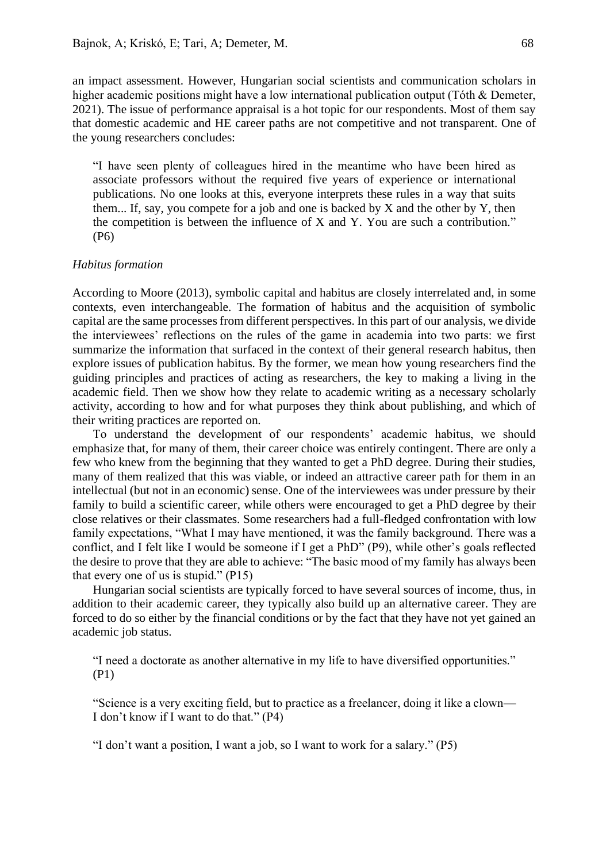an impact assessment. However, Hungarian social scientists and communication scholars in higher academic positions might have a low international publication output (Tóth & Demeter, 2021). The issue of performance appraisal is a hot topic for our respondents. Most of them say that domestic academic and HE career paths are not competitive and not transparent. One of the young researchers concludes:

"I have seen plenty of colleagues hired in the meantime who have been hired as associate professors without the required five years of experience or international publications. No one looks at this, everyone interprets these rules in a way that suits them... If, say, you compete for a job and one is backed by X and the other by Y, then the competition is between the influence of X and Y. You are such a contribution." (P6)

#### *Habitus formation*

According to Moore (2013), symbolic capital and habitus are closely interrelated and, in some contexts, even interchangeable. The formation of habitus and the acquisition of symbolic capital are the same processes from different perspectives. In this part of our analysis, we divide the interviewees' reflections on the rules of the game in academia into two parts: we first summarize the information that surfaced in the context of their general research habitus, then explore issues of publication habitus. By the former, we mean how young researchers find the guiding principles and practices of acting as researchers, the key to making a living in the academic field. Then we show how they relate to academic writing as a necessary scholarly activity, according to how and for what purposes they think about publishing, and which of their writing practices are reported on.

To understand the development of our respondents' academic habitus, we should emphasize that, for many of them, their career choice was entirely contingent. There are only a few who knew from the beginning that they wanted to get a PhD degree. During their studies, many of them realized that this was viable, or indeed an attractive career path for them in an intellectual (but not in an economic) sense. One of the interviewees was under pressure by their family to build a scientific career, while others were encouraged to get a PhD degree by their close relatives or their classmates. Some researchers had a full-fledged confrontation with low family expectations, "What I may have mentioned, it was the family background. There was a conflict, and I felt like I would be someone if I get a PhD" (P9), while other's goals reflected the desire to prove that they are able to achieve: "The basic mood of my family has always been that every one of us is stupid." (P15)

Hungarian social scientists are typically forced to have several sources of income, thus, in addition to their academic career, they typically also build up an alternative career. They are forced to do so either by the financial conditions or by the fact that they have not yet gained an academic job status.

"I need a doctorate as another alternative in my life to have diversified opportunities." (P1)

"Science is a very exciting field, but to practice as a freelancer, doing it like a clown— I don't know if I want to do that." (P4)

"I don't want a position, I want a job, so I want to work for a salary." (P5)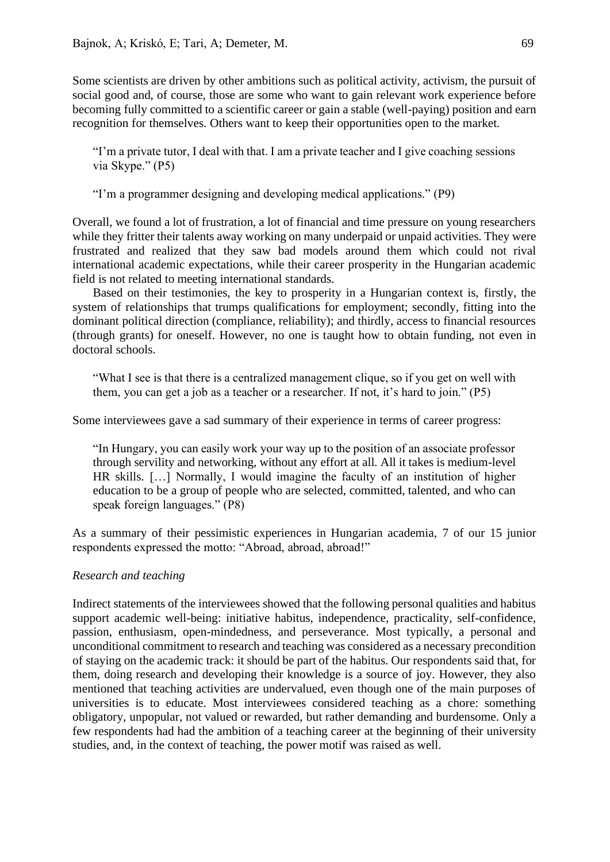Some scientists are driven by other ambitions such as political activity, activism, the pursuit of social good and, of course, those are some who want to gain relevant work experience before becoming fully committed to a scientific career or gain a stable (well-paying) position and earn recognition for themselves. Others want to keep their opportunities open to the market.

"I'm a private tutor, I deal with that. I am a private teacher and I give coaching sessions via Skype." (P5)

"I'm a programmer designing and developing medical applications." (P9)

Overall, we found a lot of frustration, a lot of financial and time pressure on young researchers while they fritter their talents away working on many underpaid or unpaid activities. They were frustrated and realized that they saw bad models around them which could not rival international academic expectations, while their career prosperity in the Hungarian academic field is not related to meeting international standards.

Based on their testimonies, the key to prosperity in a Hungarian context is, firstly, the system of relationships that trumps qualifications for employment; secondly, fitting into the dominant political direction (compliance, reliability); and thirdly, access to financial resources (through grants) for oneself. However, no one is taught how to obtain funding, not even in doctoral schools.

"What I see is that there is a centralized management clique, so if you get on well with them, you can get a job as a teacher or a researcher. If not, it's hard to join." (P5)

Some interviewees gave a sad summary of their experience in terms of career progress:

"In Hungary, you can easily work your way up to the position of an associate professor through servility and networking, without any effort at all. All it takes is medium-level HR skills. […] Normally, I would imagine the faculty of an institution of higher education to be a group of people who are selected, committed, talented, and who can speak foreign languages." (P8)

As a summary of their pessimistic experiences in Hungarian academia, 7 of our 15 junior respondents expressed the motto: "Abroad, abroad, abroad!"

# *Research and teaching*

Indirect statements of the interviewees showed that the following personal qualities and habitus support academic well-being: initiative habitus, independence, practicality, self-confidence, passion, enthusiasm, open-mindedness, and perseverance. Most typically, a personal and unconditional commitment to research and teaching was considered as a necessary precondition of staying on the academic track: it should be part of the habitus. Our respondents said that, for them, doing research and developing their knowledge is a source of joy. However, they also mentioned that teaching activities are undervalued, even though one of the main purposes of universities is to educate. Most interviewees considered teaching as a chore: something obligatory, unpopular, not valued or rewarded, but rather demanding and burdensome. Only a few respondents had had the ambition of a teaching career at the beginning of their university studies, and, in the context of teaching, the power motif was raised as well.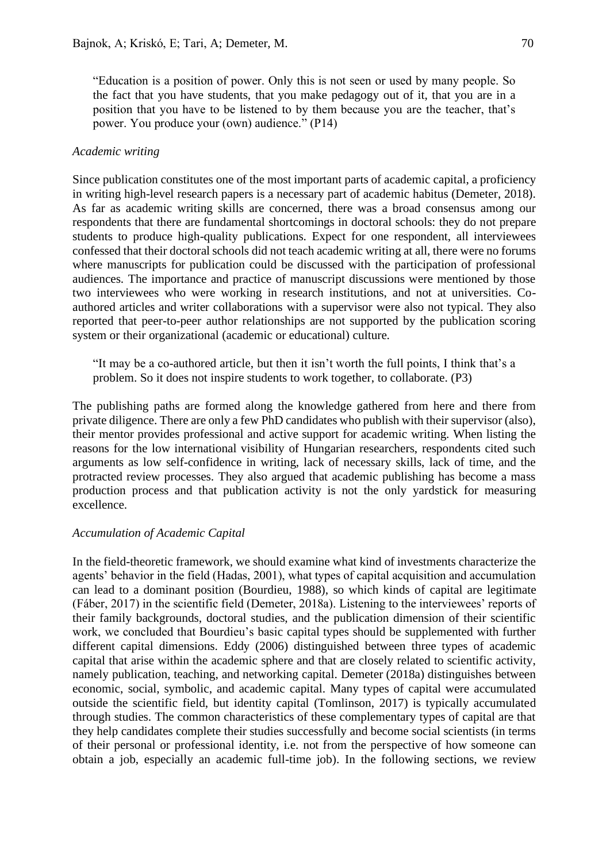"Education is a position of power. Only this is not seen or used by many people. So the fact that you have students, that you make pedagogy out of it, that you are in a position that you have to be listened to by them because you are the teacher, that's power. You produce your (own) audience." (P14)

# *Academic writing*

Since publication constitutes one of the most important parts of academic capital, a proficiency in writing high-level research papers is a necessary part of academic habitus (Demeter, 2018). As far as academic writing skills are concerned, there was a broad consensus among our respondents that there are fundamental shortcomings in doctoral schools: they do not prepare students to produce high-quality publications. Expect for one respondent, all interviewees confessed that their doctoral schools did not teach academic writing at all, there were no forums where manuscripts for publication could be discussed with the participation of professional audiences. The importance and practice of manuscript discussions were mentioned by those two interviewees who were working in research institutions, and not at universities. Coauthored articles and writer collaborations with a supervisor were also not typical. They also reported that peer-to-peer author relationships are not supported by the publication scoring system or their organizational (academic or educational) culture.

"It may be a co-authored article, but then it isn't worth the full points, I think that's a problem. So it does not inspire students to work together, to collaborate. (P3)

The publishing paths are formed along the knowledge gathered from here and there from private diligence. There are only a few PhD candidates who publish with their supervisor (also), their mentor provides professional and active support for academic writing. When listing the reasons for the low international visibility of Hungarian researchers, respondents cited such arguments as low self-confidence in writing, lack of necessary skills, lack of time, and the protracted review processes. They also argued that academic publishing has become a mass production process and that publication activity is not the only yardstick for measuring excellence.

# *Accumulation of Academic Capital*

In the field-theoretic framework, we should examine what kind of investments characterize the agents' behavior in the field (Hadas, 2001), what types of capital acquisition and accumulation can lead to a dominant position (Bourdieu, 1988), so which kinds of capital are legitimate (Fáber, 2017) in the scientific field (Demeter, 2018a). Listening to the interviewees' reports of their family backgrounds, doctoral studies, and the publication dimension of their scientific work, we concluded that Bourdieu's basic capital types should be supplemented with further different capital dimensions. Eddy (2006) distinguished between three types of academic capital that arise within the academic sphere and that are closely related to scientific activity, namely publication, teaching, and networking capital. Demeter (2018a) distinguishes between economic, social, symbolic, and academic capital. Many types of capital were accumulated outside the scientific field, but identity capital (Tomlinson, 2017) is typically accumulated through studies. The common characteristics of these complementary types of capital are that they help candidates complete their studies successfully and become social scientists (in terms of their personal or professional identity, i.e. not from the perspective of how someone can obtain a job, especially an academic full-time job). In the following sections, we review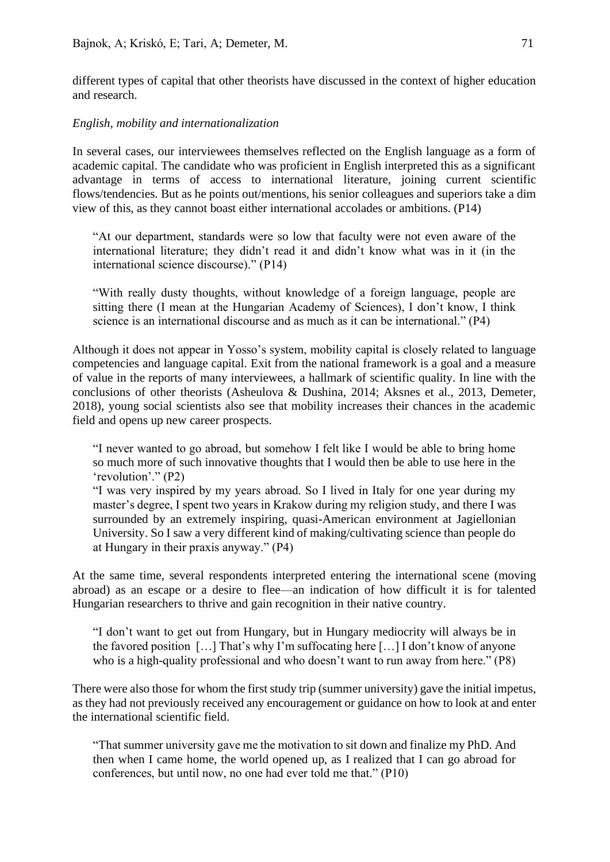different types of capital that other theorists have discussed in the context of higher education and research.

# *English, mobility and internationalization*

In several cases, our interviewees themselves reflected on the English language as a form of academic capital. The candidate who was proficient in English interpreted this as a significant advantage in terms of access to international literature, joining current scientific flows/tendencies. But as he points out/mentions, his senior colleagues and superiors take a dim view of this, as they cannot boast either international accolades or ambitions. (P14)

"At our department, standards were so low that faculty were not even aware of the international literature; they didn't read it and didn't know what was in it (in the international science discourse)." (P14)

"With really dusty thoughts, without knowledge of a foreign language, people are sitting there (I mean at the Hungarian Academy of Sciences), I don't know, I think science is an international discourse and as much as it can be international." (P4)

Although it does not appear in Yosso's system, mobility capital is closely related to language competencies and language capital. Exit from the national framework is a goal and a measure of value in the reports of many interviewees, a hallmark of scientific quality. In line with the conclusions of other theorists (Asheulova & Dushina, 2014; Aksnes et al., 2013, Demeter, 2018), young social scientists also see that mobility increases their chances in the academic field and opens up new career prospects.

"I never wanted to go abroad, but somehow I felt like I would be able to bring home so much more of such innovative thoughts that I would then be able to use here in the 'revolution'." (P2)

"I was very inspired by my years abroad. So I lived in Italy for one year during my master's degree, I spent two years in Krakow during my religion study, and there I was surrounded by an extremely inspiring, quasi-American environment at Jagiellonian University. So I saw a very different kind of making/cultivating science than people do at Hungary in their praxis anyway." (P4)

At the same time, several respondents interpreted entering the international scene (moving abroad) as an escape or a desire to flee—an indication of how difficult it is for talented Hungarian researchers to thrive and gain recognition in their native country.

"I don't want to get out from Hungary, but in Hungary mediocrity will always be in the favored position […] That's why I'm suffocating here […] I don't know of anyone who is a high-quality professional and who doesn't want to run away from here." (P8)

There were also those for whom the first study trip (summer university) gave the initial impetus, as they had not previously received any encouragement or guidance on how to look at and enter the international scientific field.

"That summer university gave me the motivation to sit down and finalize my PhD. And then when I came home, the world opened up, as I realized that I can go abroad for conferences, but until now, no one had ever told me that." (P10)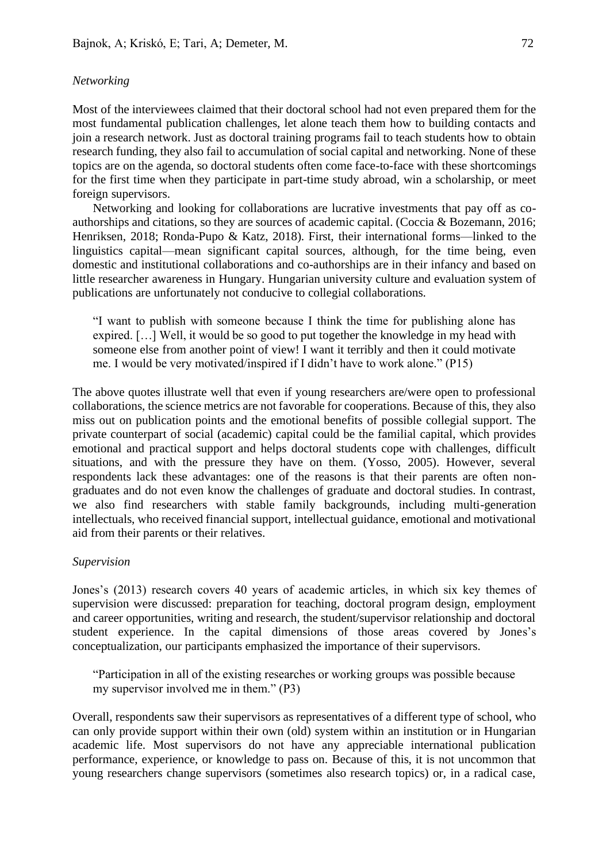# *Networking*

Most of the interviewees claimed that their doctoral school had not even prepared them for the most fundamental publication challenges, let alone teach them how to building contacts and join a research network. Just as doctoral training programs fail to teach students how to obtain research funding, they also fail to accumulation of social capital and networking. None of these topics are on the agenda, so doctoral students often come face-to-face with these shortcomings for the first time when they participate in part-time study abroad, win a scholarship, or meet foreign supervisors.

Networking and looking for collaborations are lucrative investments that pay off as coauthorships and citations, so they are sources of academic capital. (Coccia & Bozemann, 2016; Henriksen, 2018; Ronda-Pupo & Katz, 2018). First, their international forms—linked to the linguistics capital—mean significant capital sources, although, for the time being, even domestic and institutional collaborations and co-authorships are in their infancy and based on little researcher awareness in Hungary. Hungarian university culture and evaluation system of publications are unfortunately not conducive to collegial collaborations.

"I want to publish with someone because I think the time for publishing alone has expired. […] Well, it would be so good to put together the knowledge in my head with someone else from another point of view! I want it terribly and then it could motivate me. I would be very motivated/inspired if I didn't have to work alone." (P15)

The above quotes illustrate well that even if young researchers are/were open to professional collaborations, the science metrics are not favorable for cooperations. Because of this, they also miss out on publication points and the emotional benefits of possible collegial support. The private counterpart of social (academic) capital could be the familial capital, which provides emotional and practical support and helps doctoral students cope with challenges, difficult situations, and with the pressure they have on them. (Yosso, 2005). However, several respondents lack these advantages: one of the reasons is that their parents are often nongraduates and do not even know the challenges of graduate and doctoral studies. In contrast, we also find researchers with stable family backgrounds, including multi-generation intellectuals, who received financial support, intellectual guidance, emotional and motivational aid from their parents or their relatives.

# *Supervision*

Jones's (2013) research covers 40 years of academic articles, in which six key themes of supervision were discussed: preparation for teaching, doctoral program design, employment and career opportunities, writing and research, the student/supervisor relationship and doctoral student experience. In the capital dimensions of those areas covered by Jones's conceptualization, our participants emphasized the importance of their supervisors.

"Participation in all of the existing researches or working groups was possible because my supervisor involved me in them." (P3)

Overall, respondents saw their supervisors as representatives of a different type of school, who can only provide support within their own (old) system within an institution or in Hungarian academic life. Most supervisors do not have any appreciable international publication performance, experience, or knowledge to pass on. Because of this, it is not uncommon that young researchers change supervisors (sometimes also research topics) or, in a radical case,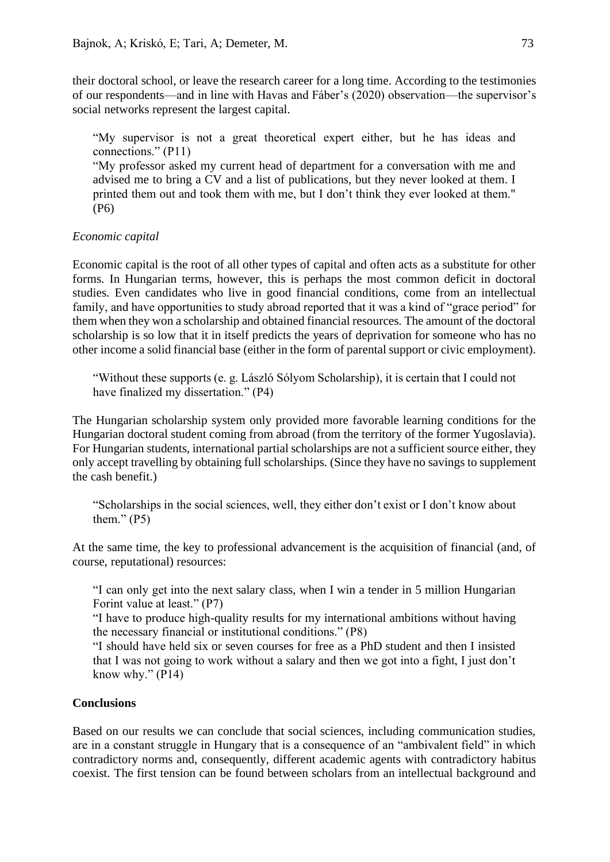their doctoral school, or leave the research career for a long time. According to the testimonies of our respondents—and in line with Havas and Fáber's (2020) observation—the supervisor's social networks represent the largest capital.

"My supervisor is not a great theoretical expert either, but he has ideas and connections." (P11)

"My professor asked my current head of department for a conversation with me and advised me to bring a CV and a list of publications, but they never looked at them. I printed them out and took them with me, but I don't think they ever looked at them." (P6)

# *Economic capital*

Economic capital is the root of all other types of capital and often acts as a substitute for other forms. In Hungarian terms, however, this is perhaps the most common deficit in doctoral studies. Even candidates who live in good financial conditions, come from an intellectual family, and have opportunities to study abroad reported that it was a kind of "grace period" for them when they won a scholarship and obtained financial resources. The amount of the doctoral scholarship is so low that it in itself predicts the years of deprivation for someone who has no other income a solid financial base (either in the form of parental support or civic employment).

"Without these supports (e. g. László Sólyom Scholarship), it is certain that I could not have finalized my dissertation." (P4)

The Hungarian scholarship system only provided more favorable learning conditions for the Hungarian doctoral student coming from abroad (from the territory of the former Yugoslavia). For Hungarian students, international partial scholarships are not a sufficient source either, they only accept travelling by obtaining full scholarships. (Since they have no savings to supplement the cash benefit.)

"Scholarships in the social sciences, well, they either don't exist or I don't know about them."  $(P5)$ 

At the same time, the key to professional advancement is the acquisition of financial (and, of course, reputational) resources:

"I can only get into the next salary class, when I win a tender in 5 million Hungarian Forint value at least." (P7)

"I have to produce high-quality results for my international ambitions without having the necessary financial or institutional conditions." (P8)

"I should have held six or seven courses for free as a PhD student and then I insisted that I was not going to work without a salary and then we got into a fight, I just don't know why."  $(P14)$ 

# **Conclusions**

Based on our results we can conclude that social sciences, including communication studies, are in a constant struggle in Hungary that is a consequence of an "ambivalent field" in which contradictory norms and, consequently, different academic agents with contradictory habitus coexist. The first tension can be found between scholars from an intellectual background and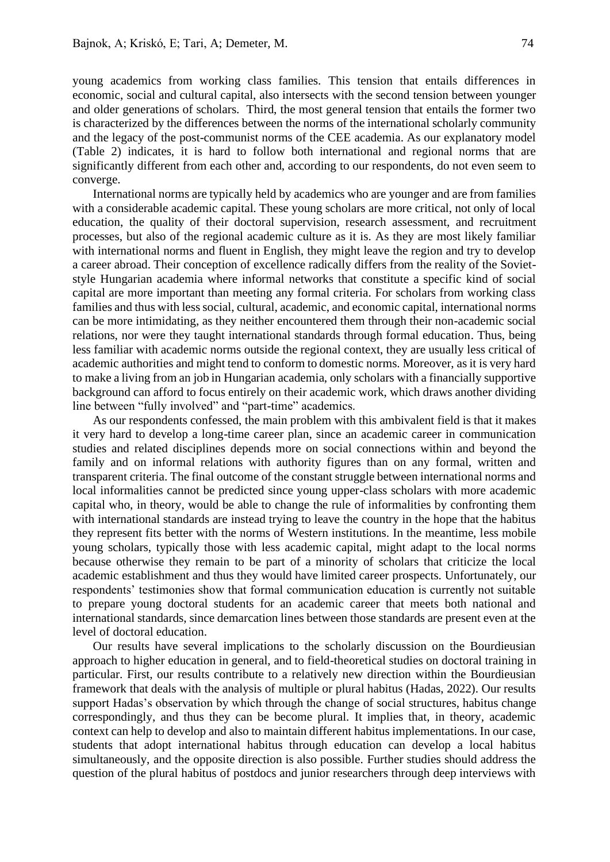young academics from working class families. This tension that entails differences in economic, social and cultural capital, also intersects with the second tension between younger and older generations of scholars. Third, the most general tension that entails the former two is characterized by the differences between the norms of the international scholarly community and the legacy of the post-communist norms of the CEE academia. As our explanatory model (Table 2) indicates, it is hard to follow both international and regional norms that are significantly different from each other and, according to our respondents, do not even seem to converge.

International norms are typically held by academics who are younger and are from families with a considerable academic capital. These young scholars are more critical, not only of local education, the quality of their doctoral supervision, research assessment, and recruitment processes, but also of the regional academic culture as it is. As they are most likely familiar with international norms and fluent in English, they might leave the region and try to develop a career abroad. Their conception of excellence radically differs from the reality of the Sovietstyle Hungarian academia where informal networks that constitute a specific kind of social capital are more important than meeting any formal criteria. For scholars from working class families and thus with less social, cultural, academic, and economic capital, international norms can be more intimidating, as they neither encountered them through their non-academic social relations, nor were they taught international standards through formal education. Thus, being less familiar with academic norms outside the regional context, they are usually less critical of academic authorities and might tend to conform to domestic norms. Moreover, as it is very hard to make a living from an job in Hungarian academia, only scholars with a financially supportive background can afford to focus entirely on their academic work, which draws another dividing line between "fully involved" and "part-time" academics.

As our respondents confessed, the main problem with this ambivalent field is that it makes it very hard to develop a long-time career plan, since an academic career in communication studies and related disciplines depends more on social connections within and beyond the family and on informal relations with authority figures than on any formal, written and transparent criteria. The final outcome of the constant struggle between international norms and local informalities cannot be predicted since young upper-class scholars with more academic capital who, in theory, would be able to change the rule of informalities by confronting them with international standards are instead trying to leave the country in the hope that the habitus they represent fits better with the norms of Western institutions. In the meantime, less mobile young scholars, typically those with less academic capital, might adapt to the local norms because otherwise they remain to be part of a minority of scholars that criticize the local academic establishment and thus they would have limited career prospects. Unfortunately, our respondents' testimonies show that formal communication education is currently not suitable to prepare young doctoral students for an academic career that meets both national and international standards, since demarcation lines between those standards are present even at the level of doctoral education.

Our results have several implications to the scholarly discussion on the Bourdieusian approach to higher education in general, and to field-theoretical studies on doctoral training in particular. First, our results contribute to a relatively new direction within the Bourdieusian framework that deals with the analysis of multiple or plural habitus (Hadas, 2022). Our results support Hadas's observation by which through the change of social structures, habitus change correspondingly, and thus they can be become plural. It implies that, in theory, academic context can help to develop and also to maintain different habitus implementations. In our case, students that adopt international habitus through education can develop a local habitus simultaneously, and the opposite direction is also possible. Further studies should address the question of the plural habitus of postdocs and junior researchers through deep interviews with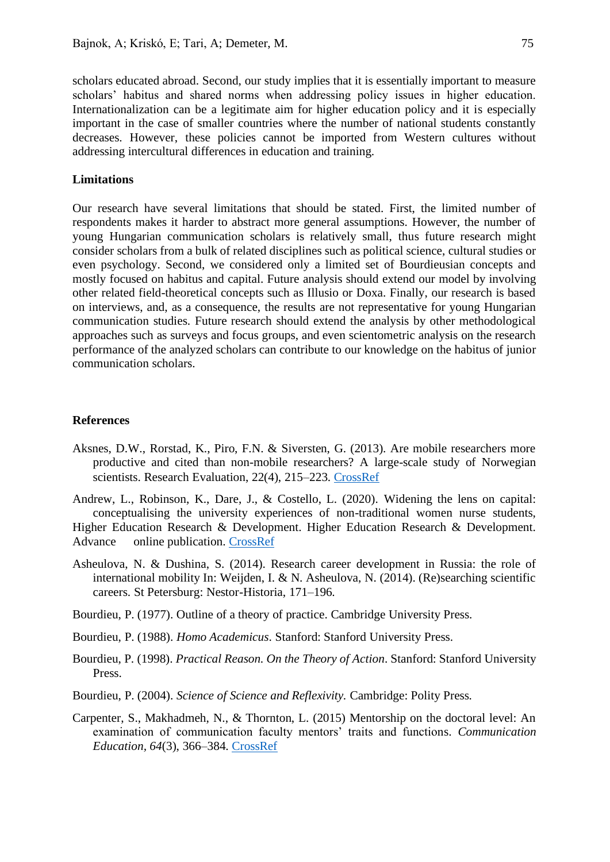scholars educated abroad. Second, our study implies that it is essentially important to measure scholars' habitus and shared norms when addressing policy issues in higher education. Internationalization can be a legitimate aim for higher education policy and it is especially important in the case of smaller countries where the number of national students constantly decreases. However, these policies cannot be imported from Western cultures without addressing intercultural differences in education and training.

#### **Limitations**

Our research have several limitations that should be stated. First, the limited number of respondents makes it harder to abstract more general assumptions. However, the number of young Hungarian communication scholars is relatively small, thus future research might consider scholars from a bulk of related disciplines such as political science, cultural studies or even psychology. Second, we considered only a limited set of Bourdieusian concepts and mostly focused on habitus and capital. Future analysis should extend our model by involving other related field-theoretical concepts such as Illusio or Doxa. Finally, our research is based on interviews, and, as a consequence, the results are not representative for young Hungarian communication studies. Future research should extend the analysis by other methodological approaches such as surveys and focus groups, and even scientometric analysis on the research performance of the analyzed scholars can contribute to our knowledge on the habitus of junior communication scholars.

### **References**

Aksnes, D.W., Rorstad, K., Piro, F.N. & Siversten, G. (2013). Are mobile researchers more productive and cited than non-mobile researchers? A large-scale study of Norwegian scientists. Research Evaluation, 22(4), 215–223. [CrossRef](https://doi.org/10.1093/reseval/rvt012)

Andrew, L., Robinson, K., Dare, J., & Costello, L. (2020). Widening the lens on capital: conceptualising the university experiences of non-traditional women nurse students, Higher Education Research & Development. Higher Education Research & Development. Advance online publication. [CrossRef](https://doi.org/10.1080/07294360.2020.1815663)

- Asheulova, N. & Dushina, S. (2014). Research career development in Russia: the role of international mobility In: Weijden, I. & N. Asheulova, N. (2014). (Re)searching scientific careers. St Petersburg: Nestor-Historia, 171–196.
- Bourdieu, P. (1977). Outline of a theory of practice. Cambridge University Press.
- Bourdieu, P. (1988). *Homo Academicus*. Stanford: Stanford University Press.
- Bourdieu, P. (1998). *Practical Reason. On the Theory of Action*. Stanford: Stanford University Press.
- Bourdieu, P. (2004). *Science of Science and Reflexivity.* Cambridge: Polity Press*.*
- Carpenter, S., Makhadmeh, N., & Thornton, L. (2015) Mentorship on the doctoral level: An examination of communication faculty mentors' traits and functions. *Communication Education, 64*(3), 366–384. [CrossRef](https://doi.org/10.1080/03634523.2015.1041997)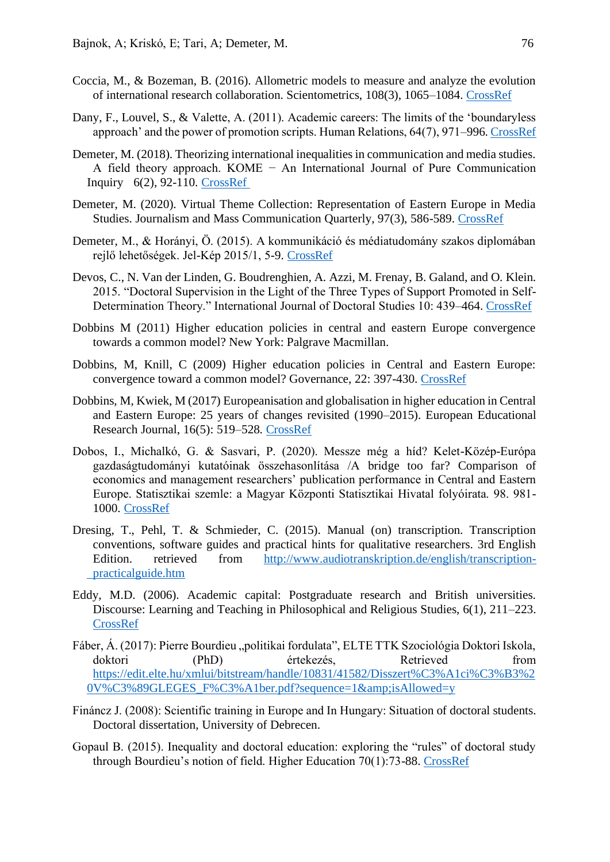- Coccia, M., & Bozeman, B. (2016). Allometric models to measure and analyze the evolution of international research collaboration. Scientometrics, 108(3), 1065–1084. [CrossRef](https://doi.org/10.1007/s11192-016-2027-x)
- Dany, F., Louvel, S., & Valette, A. (2011). Academic careers: The limits of the 'boundaryless approach' and the power of promotion scripts. Human Relations, 64(7), 971–996[. CrossRef](https://doi.org/10.1177/0018726710393537)
- Demeter, M. (2018). Theorizing international inequalities in communication and media studies. A field theory approach. KOME − An International Journal of Pure Communication Inquiry 6(2), 92-110. [CrossRef](https://doi.org/10.17646/kome.75692.94)
- Demeter, M. (2020). Virtual Theme Collection: Representation of Eastern Europe in Media Studies. Journalism and Mass Communication Quarterly, 97(3), 586-589[. CrossRef](https://doi.org/10.1177/1077699020933871)
- Demeter, M., & Horányi, Ö. (2015). A kommunikáció és médiatudomány szakos diplomában rejlő lehetőségek. Jel-Kép 2015/1, 5-9. [CrossRef](https://doi.org/10.20520/jel-kep.2015.1.klsz.5)
- Devos, C., N. Van der Linden, G. Boudrenghien, A. Azzi, M. Frenay, B. Galand, and O. Klein. 2015. "Doctoral Supervision in the Light of the Three Types of Support Promoted in Self-Determination Theory." International Journal of Doctoral Studies 10: 439–464. [CrossRef](https://doi.org/10.28945/2308)
- Dobbins M (2011) Higher education policies in central and eastern Europe convergence towards a common model? New York: Palgrave Macmillan.
- Dobbins, M, Knill, C (2009) Higher education policies in Central and Eastern Europe: convergence toward a common model? Governance, 22: 397-430. [CrossRef](https://doi.org/10.1111/j.1468-0491.2009.01445.x)
- Dobbins, M, Kwiek, M (2017) Europeanisation and globalisation in higher education in Central and Eastern Europe: 25 years of changes revisited (1990–2015). European Educational Research Journal, 16(5): 519–528. [CrossRef](https://doi.org/10.1177/1474904117728132)
- Dobos, I., Michalkó, G. & Sasvari, P. (2020). Messze még a híd? Kelet-Közép-Európa gazdaságtudományi kutatóinak összehasonlítása /A bridge too far? Comparison of economics and management researchers' publication performance in Central and Eastern Europe. Statisztikai szemle: a Magyar Központi Statisztikai Hivatal folyóirata. 98. 981- 1000. [CrossRef](https://doi.org/10.20311/stat2020.8.hu0981)
- Dresing, T., Pehl, T. & Schmieder, C. (2015). Manual (on) transcription. Transcription conventions, software guides and practical hints for qualitative researchers. 3rd English Edition. retrieved from [http://www.audiotranskription.de/english/transcription](http://www.audiotranskription.de/english/transcription-%09practicalguide.htm)[practicalguide.htm](http://www.audiotranskription.de/english/transcription-%09practicalguide.htm)
- Eddy, M.D. (2006). Academic capital: Postgraduate research and British universities. Discourse: Learning and Teaching in Philosophical and Religious Studies, 6(1), 211–223. [CrossRef](https://doi.org/10.5840/discourse20066117)
- Fáber, Á. (2017): Pierre Bourdieu "politikai fordulata", ELTE TTK Szociológia Doktori Iskola, doktori (PhD) értekezés, Retrieved from [https://edit.elte.hu/xmlui/bitstream/handle/10831/41582/Disszert%C3%A1ci%C3%B3%2](https://edit.elte.hu/xmlui/bitstream/handle/10831/41582/Disszert%C3%A1ci%C3%B3%20V%C3%89GLEGES_F%C3%A1ber.pdf?sequence=1&isAllowed=y) [0V%C3%89GLEGES\\_F%C3%A1ber.pdf?sequence=1&isAllowed=y](https://edit.elte.hu/xmlui/bitstream/handle/10831/41582/Disszert%C3%A1ci%C3%B3%20V%C3%89GLEGES_F%C3%A1ber.pdf?sequence=1&isAllowed=y)
- Fináncz J. (2008): Scientific training in Europe and In Hungary: Situation of doctoral students. Doctoral dissertation, University of Debrecen.
- Gopaul B. (2015). Inequality and doctoral education: exploring the "rules" of doctoral study through Bourdieu's notion of field. Higher Education 70(1):73-88. [CrossRef](https://doi.org/10.1007/s10734-014-9824-z)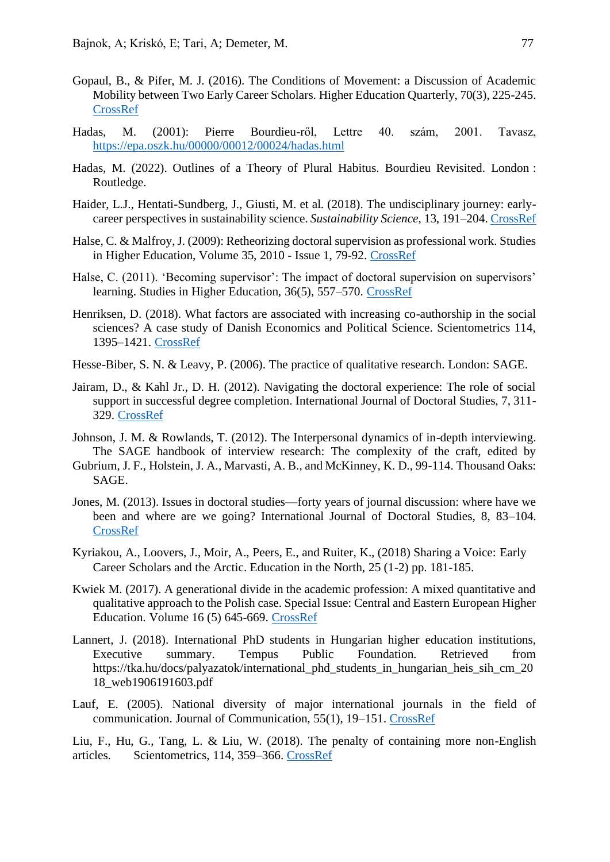- Gopaul, B., & Pifer, M. J. (2016). The Conditions of Movement: a Discussion of Academic Mobility between Two Early Career Scholars. Higher Education Quarterly, 70(3), 225-245. [CrossRef](https://doi.org/10.1111/hequ.12092)
- Hadas, M. (2001): Pierre Bourdieu-ről, Lettre 40. szám, 2001. Tavasz, <https://epa.oszk.hu/00000/00012/00024/hadas.html>
- Hadas, M. (2022). Outlines of a Theory of Plural Habitus. Bourdieu Revisited. London : Routledge.
- Haider, L.J., Hentati-Sundberg, J., Giusti, M. et al. (2018). The undisciplinary journey: earlycareer perspectives in sustainability science. *Sustainability Science*, 13, 191–204[. CrossRef](https://doi.org/10.1007/s11625-017-0445-1)
- Halse, C. & Malfroy, J. (2009): Retheorizing doctoral supervision as professional work. Studies in Higher Education, Volume 35, 2010 - Issue 1, 79-92. [CrossRef](https://doi.org/10.1080/03075070902906798)
- Halse, C. (2011). 'Becoming supervisor': The impact of doctoral supervision on supervisors' learning. Studies in Higher Education, 36(5), 557–570. [CrossRef](mhttps://doi.org/10.1080/03075079.2011.594593)
- Henriksen, D. (2018). What factors are associated with increasing co-authorship in the social sciences? A case study of Danish Economics and Political Science. Scientometrics 114, 1395–1421. [CrossRef](https://doi.org/10.1007/s11192-017-2635-0)
- Hesse-Biber, S. N. & Leavy, P. (2006). The practice of qualitative research. London: SAGE.
- Jairam, D., & Kahl Jr., D. H. (2012). Navigating the doctoral experience: The role of social support in successful degree completion. International Journal of Doctoral Studies, 7, 311- 329. [CrossRef](https://doi.org/10.28945/1700)
- Johnson, J. M. & Rowlands, T. (2012). The Interpersonal dynamics of in-depth interviewing. The SAGE handbook of interview research: The complexity of the craft, edited by
- Gubrium, J. F., Holstein, J. A., Marvasti, A. B., and McKinney, K. D., 99-114. Thousand Oaks: SAGE.
- Jones, M. (2013). Issues in doctoral studies—forty years of journal discussion: where have we been and where are we going? International Journal of Doctoral Studies, 8, 83–104. [CrossRef](https://doi.org/10.28945/1871)
- Kyriakou, A., Loovers, J., Moir, A., Peers, E., and Ruiter, K., (2018) Sharing a Voice: Early Career Scholars and the Arctic. Education in the North, 25 (1-2) pp. 181-185.
- Kwiek M. (2017). A generational divide in the academic profession: A mixed quantitative and qualitative approach to the Polish case. Special Issue: Central and Eastern European Higher Education. Volume 16 (5) 645-669. [CrossRef](https://doi.org/10.1177/1474904116689684)
- Lannert, J. (2018). International PhD students in Hungarian higher education institutions, Executive summary. Tempus Public Foundation. Retrieved from https://tka.hu/docs/palyazatok/international\_phd\_students\_in\_hungarian\_heis\_sih\_cm\_20 18\_web1906191603.pdf
- Lauf, E. (2005). National diversity of major international journals in the field of communication. Journal of Communication, 55(1), 19–151. [CrossRef](https://doi.org/10.1111/j.1460-2466.2005.tb02663.x)

Liu, F., Hu, G., Tang, L. & Liu, W. (2018). The penalty of containing more non-English articles. Scientometrics, 114, 359–366. [CrossRef](https://doi.org/10.1007/s11192-017-2577-6)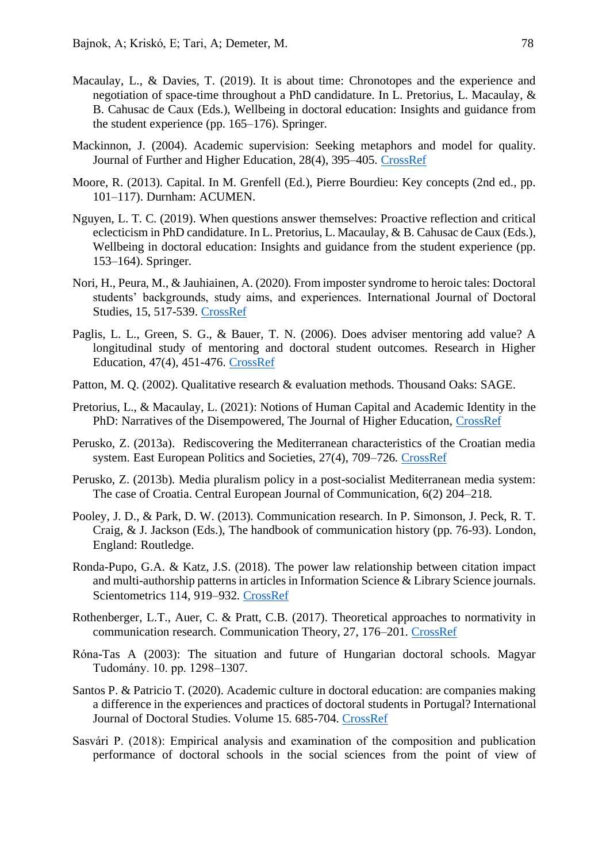- Macaulay, L., & Davies, T. (2019). It is about time: Chronotopes and the experience and negotiation of space-time throughout a PhD candidature. In L. Pretorius, L. Macaulay, & B. Cahusac de Caux (Eds.), Wellbeing in doctoral education: Insights and guidance from the student experience (pp. 165–176). Springer.
- Mackinnon, J. (2004). Academic supervision: Seeking metaphors and model for quality. Journal of Further and Higher Education, 28(4), 395–405. [CrossRef](https://doi.org/10.1080/0309877042000298876)
- Moore, R. (2013). Capital. In M. Grenfell (Ed.), Pierre Bourdieu: Key concepts (2nd ed., pp. 101–117). Durnham: ACUMEN.
- Nguyen, L. T. C. (2019). When questions answer themselves: Proactive reflection and critical eclecticism in PhD candidature. In L. Pretorius, L. Macaulay, & B. Cahusac de Caux (Eds.), Wellbeing in doctoral education: Insights and guidance from the student experience (pp. 153–164). Springer.
- Nori, H., Peura, M., & Jauhiainen, A. (2020). From imposter syndrome to heroic tales: Doctoral students' backgrounds, study aims, and experiences. International Journal of Doctoral Studies, 15, 517-539. [CrossRef](https://doi.org/10.28945/4637)
- Paglis, L. L., Green, S. G., & Bauer, T. N. (2006). Does adviser mentoring add value? A longitudinal study of mentoring and doctoral student outcomes. Research in Higher Education, 47(4), 451-476. [CrossRef](https://doi.org/10.1007/s11162-005-9003-2)
- Patton, M. Q. (2002). Qualitative research & evaluation methods. Thousand Oaks: SAGE.
- Pretorius, L., & Macaulay, L. (2021): Notions of Human Capital and Academic Identity in the PhD: Narratives of the Disempowered, The Journal of Higher Education, [CrossRef](https://doi.org/10.1080/00221546.2020.1854605)
- Perusko, Z. (2013a). Rediscovering the Mediterranean characteristics of the Croatian media system. East European Politics and Societies, 27(4), 709–726. [CrossRef](https://doi.org/10.1177/0888325413494770)
- Perusko, Z. (2013b). Media pluralism policy in a post-socialist Mediterranean media system: The case of Croatia. Central European Journal of Communication, 6(2) 204–218.
- Pooley, J. D., & Park, D. W. (2013). Communication research. In P. Simonson, J. Peck, R. T. Craig, & J. Jackson (Eds.), The handbook of communication history (pp. 76-93). London, England: Routledge.
- Ronda-Pupo, G.A. & Katz, J.S. (2018). The power law relationship between citation impact and multi-authorship patterns in articles in Information Science & Library Science journals. Scientometrics 114, 919–932. [CrossRef](https://doi.org/10.1007/s11192-017-2612-7)
- Rothenberger, L.T., Auer, C. & Pratt, C.B. (2017). Theoretical approaches to normativity in communication research. Communication Theory, 27, 176–201. [CrossRef](https://doi.org/10.1111/comt.12103)
- Róna-Tas A (2003): The situation and future of Hungarian doctoral schools. Magyar Tudomány. 10. pp. 1298–1307.
- Santos P. & Patricio T. (2020). Academic culture in doctoral education: are companies making a difference in the experiences and practices of doctoral students in Portugal? International Journal of Doctoral Studies. Volume 15. 685-704. [CrossRef](https://doi.org/10.28945/4665)
- Sasvári P. (2018): Empirical analysis and examination of the composition and publication performance of doctoral schools in the social sciences from the point of view of